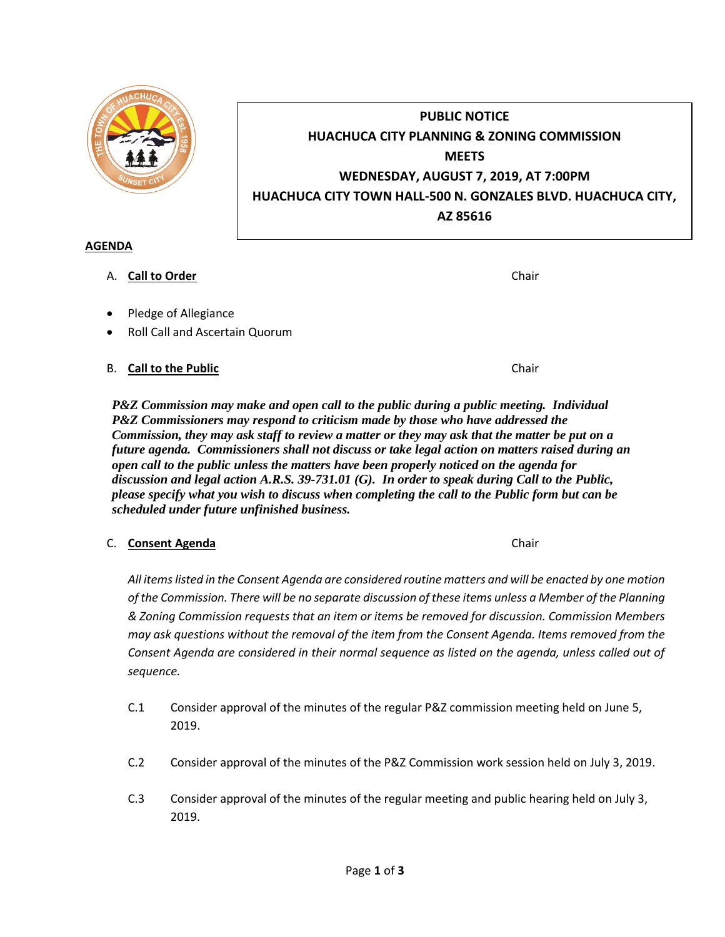

# **PUBLIC NOTICE HUACHUCA CITY PLANNING & ZONING COMMISSION MEETS WEDNESDAY, AUGUST 7, 2019, AT 7:00PM HUACHUCA CITY TOWN HALL-500 N. GONZALES BLVD. HUACHUCA CITY, AZ 85616**

## **AGENDA**

# A. **Call to Order Chair Chair Chair Chair Chair Chair**

- Pledge of Allegiance
- Roll Call and Ascertain Quorum

# B. **Call to the Public** Chair

*P&Z Commission may make and open call to the public during a public meeting. Individual P&Z Commissioners may respond to criticism made by those who have addressed the Commission, they may ask staff to review a matter or they may ask that the matter be put on a future agenda. Commissioners shall not discuss or take legal action on matters raised during an open call to the public unless the matters have been properly noticed on the agenda for discussion and legal action A.R.S. 39-731.01 (G). In order to speak during Call to the Public, please specify what you wish to discuss when completing the call to the Public form but can be scheduled under future unfinished business.*

# C. **Consent Agenda** Chair

*All items listed in the Consent Agenda are considered routine matters and will be enacted by one motion of the Commission. There will be no separate discussion of these items unless a Member of the Planning & Zoning Commission requests that an item or items be removed for discussion. Commission Members may ask questions without the removal of the item from the Consent Agenda. Items removed from the Consent Agenda are considered in their normal sequence as listed on the agenda, unless called out of sequence.*

- C.1 Consider approval of the minutes of the regular P&Z commission meeting held on June 5, 2019.
- C.2 Consider approval of the minutes of the P&Z Commission work session held on July 3, 2019.
- C.3 Consider approval of the minutes of the regular meeting and public hearing held on July 3, 2019.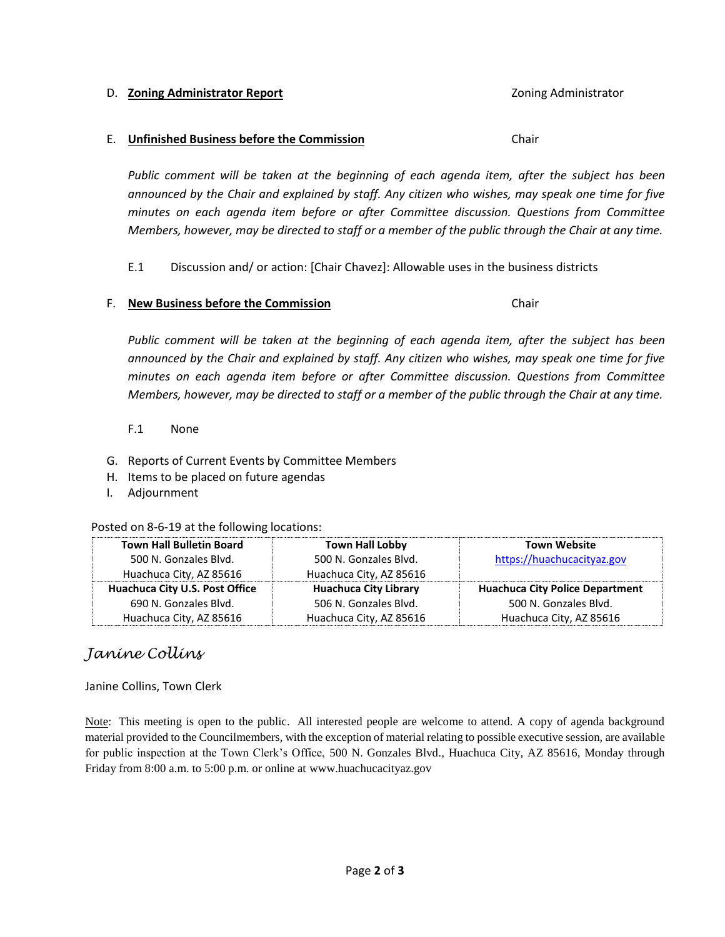#### Page **2** of **3**

#### D. **Zoning Administrator Report Coning Administrator Report** 2001 **Zoning Administrator**

#### E. **Unfinished Business before the Commission** Chair

*Public comment will be taken at the beginning of each agenda item, after the subject has been announced by the Chair and explained by staff. Any citizen who wishes, may speak one time for five minutes on each agenda item before or after Committee discussion. Questions from Committee Members, however, may be directed to staff or a member of the public through the Chair at any time.*

E.1 Discussion and/ or action: [Chair Chavez]: Allowable uses in the business districts

### F. **New Business before the Commission** Chair

*Public comment will be taken at the beginning of each agenda item, after the subject has been announced by the Chair and explained by staff. Any citizen who wishes, may speak one time for five minutes on each agenda item before or after Committee discussion. Questions from Committee Members, however, may be directed to staff or a member of the public through the Chair at any time.*

### F.1 None

- G. Reports of Current Events by Committee Members
- H. Items to be placed on future agendas
- I. Adjournment

### Posted on 8-6-19 at the following locations:

| <b>Town Hall Bulletin Board</b> | <b>Town Hall Lobby</b>       | <b>Town Website</b>                    |
|---------------------------------|------------------------------|----------------------------------------|
| 500 N. Gonzales Blvd.           | 500 N. Gonzales Blvd.        | https://huachucacityaz.gov             |
| Huachuca City, AZ 85616         | Huachuca City, AZ 85616      |                                        |
| Huachuca City U.S. Post Office  | <b>Huachuca City Library</b> | <b>Huachuca City Police Department</b> |
| 690 N. Gonzales Blvd.           | 506 N. Gonzales Blvd.        | 500 N. Gonzales Blvd.                  |
| Huachuca City, AZ 85616         | Huachuca City, AZ 85616      | Huachuca City, AZ 85616                |

# *Janine Collins*

### Janine Collins, Town Clerk

Note: This meeting is open to the public. All interested people are welcome to attend. A copy of agenda background material provided to the Councilmembers, with the exception of material relating to possible executive session, are available for public inspection at the Town Clerk's Office, 500 N. Gonzales Blvd., Huachuca City, AZ 85616, Monday through Friday from 8:00 a.m. to 5:00 p.m. or online at www.huachucacityaz.gov